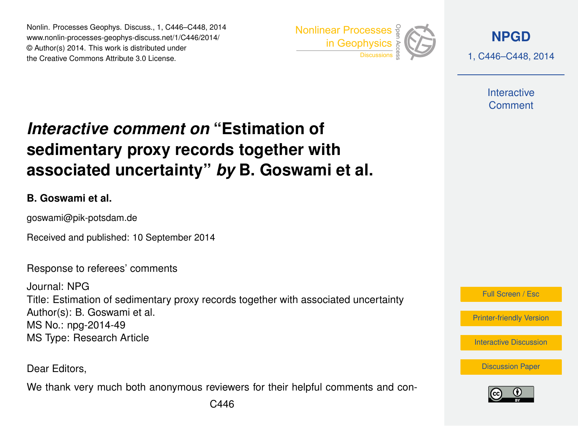Nonlin. Processes Geophys. Discuss., 1, C446–C448, 2014 www.nonlin-processes-geophys-discuss.net/1/C446/2014/ © Author(s) 2014. This work is distributed under Nonlin. Processes Geophys. Discuss., 1, C446–C448, 2014<br>
www.nonlin-processes-geophys-discuss.net/1/C446/2014/<br>
© Author(s) 2014. This work is distributed under<br>
the Creative Commons Attribute 3.0 License.



**[NPGD](http://www.nonlin-processes-geophys-discuss.net)** 1, C446–C448, 2014

> **Interactive Comment**

## *Interactive comment on* **"Estimation of sedimentary proxy records together with associated uncertainty"** *by* **B. Goswami et al.**

## **B. Goswami et al.**

goswami@pik-potsdam.de

Received and published: 10 September 2014

Response to referees' comments

Journal: NPG Title: Estimation of sedimentary proxy records together with associated uncertainty Author(s): B. Goswami et al. MS No.: npg-2014-49 MS Type: Research Article

Dear Editors,

We thank very much both anonymous reviewers for their helpful comments and con-



Full Screen / Esc

[Printer-friendly Version](http://www.nonlin-processes-geophys-discuss.net/1/C446/2014/npgd-1-C446-2014-print.pdf)

[Interactive Discussion](http://www.nonlin-processes-geophys-discuss.net/1/1023/2014/npgd-1-1023-2014-discussion.html)

[Discussion Paper](http://www.nonlin-processes-geophys-discuss.net/1/1023/2014/npgd-1-1023-2014.pdf)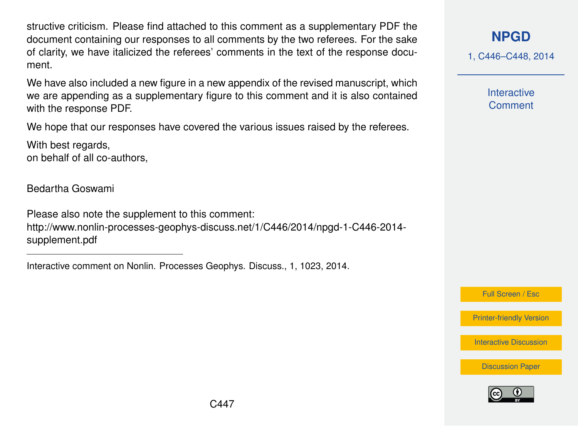structive criticism. Please find attached to this comment as a supplementary PDF the document containing our responses to all comments by the two referees. For the sake of clarity, we have italicized the referees' comments in the text of the response document.

We have also included a new figure in a new appendix of the revised manuscript, which we are appending as a supplementary figure to this comment and it is also contained with the response PDF.

We hope that our responses have covered the various issues raised by the referees.

With best regards, on behalf of all co-authors,

Bedartha Goswami

Please also note the supplement to this comment: [http://www.nonlin-processes-geophys-discuss.net/1/C446/2014/npgd-1-C446-2014](http://www.nonlin-processes-geophys-discuss.net/1/C446/2014/npgd-1-C446-2014-supplement.pdf) [supplement.pdf](http://www.nonlin-processes-geophys-discuss.net/1/C446/2014/npgd-1-C446-2014-supplement.pdf)

Interactive comment on Nonlin. Processes Geophys. Discuss., 1, 1023, 2014.

## **[NPGD](http://www.nonlin-processes-geophys-discuss.net)**

1, C446–C448, 2014

**Interactive Comment** 

Full Screen / Esc

[Printer-friendly Version](http://www.nonlin-processes-geophys-discuss.net/1/C446/2014/npgd-1-C446-2014-print.pdf)

[Interactive Discussion](http://www.nonlin-processes-geophys-discuss.net/1/1023/2014/npgd-1-1023-2014-discussion.html)

[Discussion Paper](http://www.nonlin-processes-geophys-discuss.net/1/1023/2014/npgd-1-1023-2014.pdf)